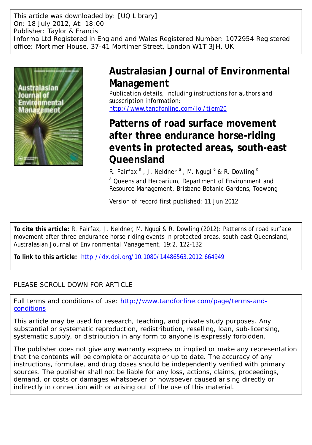This article was downloaded by: [UQ Library] On: 18 July 2012, At: 18:00 Publisher: Taylor & Francis Informa Ltd Registered in England and Wales Registered Number: 1072954 Registered office: Mortimer House, 37-41 Mortimer Street, London W1T 3JH, UK



# **Australasian Journal of Environmental Management**

Publication details, including instructions for authors and subscription information: <http://www.tandfonline.com/loi/tjem20>

# **Patterns of road surface movement after three endurance horse-riding events in protected areas, south-east Queensland**

R. Fairfax  $^{\mathsf{a}}$  , J. Neldner  $^{\mathsf{a}}$  , M. Ngugi  $^{\mathsf{a}}$  & R. Dowling  $^{\mathsf{a}}$ <sup>a</sup> Queensland Herbarium, Department of Environment and Resource Management, Brisbane Botanic Gardens, Toowong

Version of record first published: 11 Jun 2012

**To cite this article:** R. Fairfax, J. Neldner, M. Ngugi & R. Dowling (2012): Patterns of road surface movement after three endurance horse-riding events in protected areas, south-east Queensland, Australasian Journal of Environmental Management, 19:2, 122-132

**To link to this article:** <http://dx.doi.org/10.1080/14486563.2012.664949>

# PLEASE SCROLL DOWN FOR ARTICLE

Full terms and conditions of use: [http://www.tandfonline.com/page/terms-and](http://www.tandfonline.com/page/terms-and-conditions)[conditions](http://www.tandfonline.com/page/terms-and-conditions)

This article may be used for research, teaching, and private study purposes. Any substantial or systematic reproduction, redistribution, reselling, loan, sub-licensing, systematic supply, or distribution in any form to anyone is expressly forbidden.

The publisher does not give any warranty express or implied or make any representation that the contents will be complete or accurate or up to date. The accuracy of any instructions, formulae, and drug doses should be independently verified with primary sources. The publisher shall not be liable for any loss, actions, claims, proceedings, demand, or costs or damages whatsoever or howsoever caused arising directly or indirectly in connection with or arising out of the use of this material.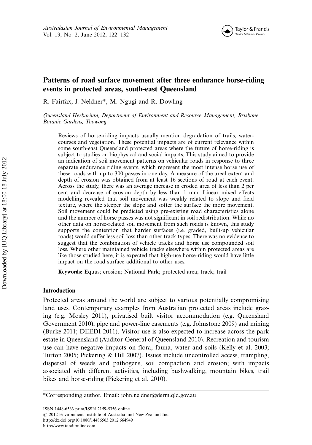

# Patterns of road surface movement after three endurance horse-riding events in protected areas, south-east Queensland

R. Fairfax, J. Neldner\*, M. Ngugi and R. Dowling

Queensland Herbarium, Department of Environment and Resource Management, Brisbane Botanic Gardens, Toowong

Reviews of horse-riding impacts usually mention degradation of trails, watercourses and vegetation. These potential impacts are of current relevance within some south-east Queensland protected areas where the future of horse-riding is subject to studies on biophysical and social impacts. This study aimed to provide an indication of soil movement patterns on vehicular roads in response to three separate endurance riding events, which represent the most intense horse use of these roads with up to 300 passes in one day. A measure of the areal extent and depth of erosion was obtained from at least 16 sections of road at each event. Across the study, there was an average increase in eroded area of less than 2 per cent and decrease of erosion depth by less than 1 mm. Linear mixed effects modelling revealed that soil movement was weakly related to slope and field texture, where the steeper the slope and softer the surface the more movement. Soil movement could be predicted using pre-existing road characteristics alone and the number of horse passes was not significant in soil redistribution. While no other data on horse-related soil movement from such roads is known, this study supports the contention that harder surfaces (i.e. graded, built-up vehicular roads) would suffer less soil loss than other track types. There was no evidence to suggest that the combination of vehicle tracks and horse use compounded soil loss. Where other maintained vehicle tracks elsewhere within protected areas are like those studied here, it is expected that high-use horse-riding would have little impact on the road surface additional to other uses.

Keywords: Equus; erosion; National Park; protected area; track; trail

# Introduction

Protected areas around the world are subject to various potentially compromising land uses. Contemporary examples from Australian protected areas include grazing (e.g. Mosley 2011), privatised built visitor accommodation (e.g. Queensland Government 2010), pipe and power-line easements (e.g. Johnstone 2009) and mining (Burke 2011; DEEDI 2011). Visitor use is also expected to increase across the park estate in Queensland (Auditor-General of Queensland 2010). Recreation and tourism use can have negative impacts on flora, fauna, water and soils (Kelly et al. 2003; Turton 2005; Pickering & Hill 2007). Issues include uncontrolled access, trampling, dispersal of weeds and pathogens, soil compaction and erosion; with impacts associated with different activities, including bushwalking, mountain bikes, trail bikes and horse-riding (Pickering et al. 2010).

<sup>\*</sup>Corresponding author. Email: john.neldner@derm.qld.gov.au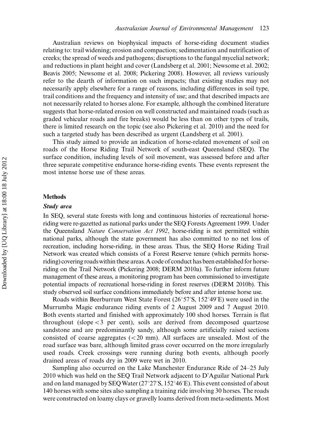Australian reviews on biophysical impacts of horse-riding document studies relating to: trail widening; erosion and compaction; sedimentation and nutrification of creeks; the spread of weeds and pathogens; disruptions to the fungal mycelial network; and reductions in plant height and cover (Landsberg et al. 2001; Newsome et al. 2002; Beavis 2005; Newsome et al. 2008; Pickering 2008). However, all reviews variously refer to the dearth of information on such impacts; that existing studies may not necessarily apply elsewhere for a range of reasons, including differences in soil type, trail conditions and the frequency and intensity of use; and that described impacts are not necessarily related to horses alone. For example, although the combined literature suggests that horse-related erosion on well constructed and maintained roads (such as graded vehicular roads and fire breaks) would be less than on other types of trails, there is limited research on the topic (see also Pickering et al. 2010) and the need for such a targeted study has been described as urgent (Landsberg et al. 2001).

This study aimed to provide an indication of horse-related movement of soil on roads of the Horse Riding Trail Network of south-east Queensland (SEQ). The surface condition, including levels of soil movement, was assessed before and after three separate competitive endurance horse-riding events. These events represent the most intense horse use of these areas.

#### **Methods**

#### Study area

In SEQ, several state forests with long and continuous histories of recreational horseriding were re-gazetted as national parks under the SEQ Forests Agreement 1999. Under the Queensland Nature Conservation Act 1992, horse-riding is not permitted within national parks, although the state government has also committed to no net loss of recreation, including horse-riding, in these areas. Thus, the SEQ Horse Riding Trail Network was created which consists of a Forest Reserve tenure (which permits horseriding) covering roadswithin these areas. A code of conduct has been established for horseriding on the Trail Network (Pickering 2008; DERM 2010a). To further inform future management of these areas, a monitoring program has been commissioned to investigate potential impacts of recreational horse-riding in forest reserves (DERM 2010b). This study observed soil surface conditions immediately before and after intense horse use.

Roads within Beerburrum West State Forest  $(26^{\circ}57^{\prime}S, 152^{\circ}49^{\prime}E)$  were used in the Murrumba Magic endurance riding events of 2 August 2009 and 7 August 2010. Both events started and finished with approximately 100 shod horses. Terrain is flat throughout (slope  $\lt 3$  per cent), soils are derived from decomposed quartzose sandstone and are predominantly sandy, although some artificially raised sections consisted of coarse aggregates  $\ll$  20 mm). All surfaces are unsealed. Most of the road surface was bare, although limited grass cover occurred on the more irregularly used roads. Creek crossings were running during both events, although poorly drained areas of roads dry in 2009 were wet in 2010.

Sampling also occurred on the Lake Manchester Endurance Ride of 24–25 July 2010 which was held on the SEQ Trail Network adjacent to D'Aguilar National Park and on land managed by SEQ Water ( $27^{\circ}27^{\prime}$ S, 152 $^{\circ}46^{\prime}$ E). This event consisted of about 140 horses with some sites also sampling a training ride involving 30 horses. The roads were constructed on loamy clays or gravelly loams derived from meta-sediments. Most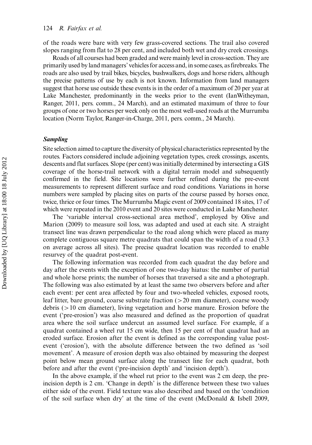of the roads were bare with very few grass-covered sections. The trail also covered slopes ranging from flat to 28 per cent, and included both wet and dry creek crossings.

Roads of all courses had been graded and were mainly level in cross-section. They are primarily used by land managers' vehicles for access and, in some cases, as firebreaks. The roads are also used by trail bikes, bicycles, bushwalkers, dogs and horse riders, although the precise patterns of use by each is not known. Information from land managers suggest that horse use outside these events is in the order of a maximum of 20 per year at Lake Manchester, predominantly in the weeks prior to the event (IanWitheyman, Ranger, 2011, pers. comm., 24 March), and an estimated maximum of three to four groups of one or two horses per week only on the most well-used roads at the Murrumba location (Norm Taylor, Ranger-in-Charge, 2011, pers. comm., 24 March).

# Sampling

Site selection aimed to capture the diversityof physical characteristics represented by the routes. Factors considered include adjoining vegetation types, creek crossings, ascents, descents and flat surfaces. Slope (per cent) was initially determined by intersecting a GIS coverage of the horse-trail network with a digital terrain model and subsequently confirmed in the field. Site locations were further refined during the pre-event measurements to represent different surface and road conditions. Variations in horse numbers were sampled by placing sites on parts of the course passed by horses once, twice, thrice or four times. The Murrumba Magic event of 2009 contained 18 sites, 17 of which were repeated in the 2010 event and 20 sites were conducted in Lake Manchester.

The 'variable interval cross-sectional area method', employed by Olive and Marion (2009) to measure soil loss, was adapted and used at each site. A straight transect line was drawn perpendicular to the road along which were placed as many complete contiguous square metre quadrats that could span the width of a road (3.3 on average across all sites). The precise quadrat location was recorded to enable resurvey of the quadrat post-event.

The following information was recorded from each quadrat the day before and day after the events with the exception of one two-day hiatus: the number of partial and whole horse prints; the number of horses that traversed a site and a photograph. The following was also estimated by at least the same two observers before and after each event: per cent area affected by four and two-wheeled vehicles, exposed roots, leaf litter, bare ground, coarse substrate fraction (> 20 mm diameter), coarse woody debris (>10 cm diameter), living vegetation and horse manure. Erosion before the event ('pre-erosion') was also measured and defined as the proportion of quadrat area where the soil surface undercut an assumed level surface. For example, if a quadrat contained a wheel rut 15 cm wide, then 15 per cent of that quadrat had an eroded surface. Erosion after the event is defined as the corresponding value postevent ('erosion'), with the absolute difference between the two defined as 'soil movement'. A measure of erosion depth was also obtained by measuring the deepest point below mean ground surface along the transect line for each quadrat, both before and after the event ('pre-incision depth' and 'incision depth').

In the above example, if the wheel rut prior to the event was 2 cm deep, the preincision depth is 2 cm. 'Change in depth' is the difference between these two values either side of the event. Field texture was also described and based on the 'condition of the soil surface when dry' at the time of the event (McDonald & Isbell 2009,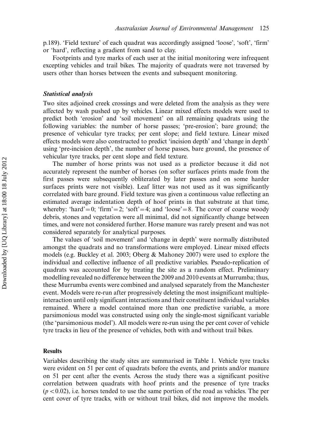p.189). 'Field texture' of each quadrat was accordingly assigned 'loose', 'soft', 'firm' or 'hard', reflecting a gradient from sand to clay.

Footprints and tyre marks of each user at the initial monitoring were infrequent excepting vehicles and trail bikes. The majority of quadrats were not traversed by users other than horses between the events and subsequent monitoring.

#### Statistical analysis

Two sites adjoined creek crossings and were deleted from the analysis as they were affected by wash pushed up by vehicles. Linear mixed effects models were used to predict both 'erosion' and 'soil movement' on all remaining quadrats using the following variables: the number of horse passes; 'pre-erosion'; bare ground; the presence of vehicular tyre tracks; per cent slope; and field texture. Linear mixed effects models were also constructed to predict 'incision depth' and 'change in depth' using 'pre-incision depth', the number of horse passes, bare ground, the presence of vehicular tyre tracks, per cent slope and field texture.

The number of horse prints was not used as a predictor because it did not accurately represent the number of horses (on softer surfaces prints made from the first passes were subsequently obliterated by later passes and on some harder surfaces prints were not visible). Leaf litter was not used as it was significantly correlated with bare ground. Field texture was given a continuous value reflecting an estimated average indentation depth of hoof prints in that substrate at that time, whereby: 'hard' = 0; 'firm' = 2; 'soft' = 4; and 'loose' = 8. The cover of coarse woody debris, stones and vegetation were all minimal, did not significantly change between times, and were not considered further. Horse manure was rarely present and was not considered separately for analytical purposes.

The values of 'soil movement' and 'change in depth' were normally distributed amongst the quadrats and no transformations were employed. Linear mixed effects models (e.g. Buckley et al. 2003; Oberg & Mahoney 2007) were used to explore the individual and collective influence of all predictive variables. Pseudo-replication of quadrats was accounted for by treating the site as a random effect. Preliminary modelling revealed no difference between the 2009 and 2010 events at Murrumba; thus, these Murrumba events were combined and analysed separately from the Manchester event. Models were re-run after progressively deleting the most insignificant multipleinteraction until only significant interactions and their constituent individual variables remained. Where a model contained more than one predictive variable, a more parsimonious model was constructed using only the single-most significant variable (the 'parsimonious model'). All models were re-run using the per cent cover of vehicle tyre tracks in lieu of the presence of vehicles, both with and without trail bikes.

#### Results

Variables describing the study sites are summarised in Table 1. Vehicle tyre tracks were evident on 51 per cent of quadrats before the events, and prints and/or manure on 51 per cent after the events. Across the study there was a significant positive correlation between quadrats with hoof prints and the presence of tyre tracks  $(p<0.02)$ , i.e. horses tended to use the same portion of the road as vehicles. The per cent cover of tyre tracks, with or without trail bikes, did not improve the models.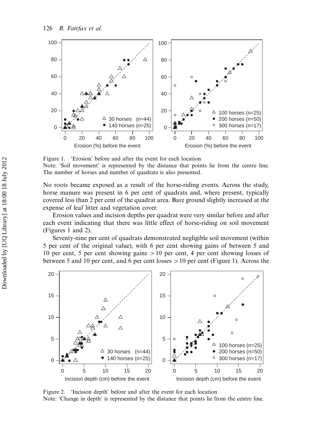

Figure 1. 'Erosion' before and after the event for each location Note: 'Soil movement' is represented by the distance that points lie from the centre line. The number of horses and number of quadrats is also presented.

No roots became exposed as a result of the horse-riding events. Across the study, horse manure was present in 6 per cent of quadrats and, where present, typically covered less than 2 per cent of the quadrat area. Bare ground slightly increased at the expense of leaf litter and vegetation cover.

Erosion values and incision depths per quadrat were very similar before and after each event indicating that there was little effect of horse-riding on soil movement (Figures 1 and 2).

Seventy-nine per cent of quadrats demonstrated negligible soil movement (within 5 per cent of the original value), with 6 per cent showing gains of between 5 and 10 per cent, 5 per cent showing gains  $>$  10 per cent, 4 per cent showing losses of between 5 and 10 per cent, and 6 per cent losses  $>$  10 per cent (Figure 1). Across the



Figure 2. 'Incision depth' before and after the event for each location Note: 'Change in depth' is represented by the distance that points lie from the centre line.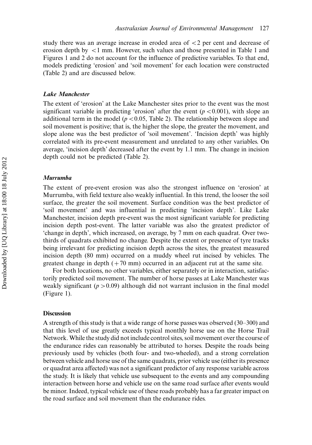study there was an average increase in eroded area of  $\lt 2$  per cent and decrease of erosion depth by <1 mm. However, such values and those presented in Table 1 and Figures 1 and 2 do not account for the influence of predictive variables. To that end, models predicting 'erosion' and 'soil movement' for each location were constructed (Table 2) and are discussed below.

# Lake Manchester

The extent of 'erosion' at the Lake Manchester sites prior to the event was the most significant variable in predicting 'erosion' after the event  $(p<0.001)$ , with slope an additional term in the model ( $p < 0.05$ , Table 2). The relationship between slope and soil movement is positive; that is, the higher the slope, the greater the movement, and slope alone was the best predictor of 'soil movement'. 'Incision depth' was highly correlated with its pre-event measurement and unrelated to any other variables. On average, 'incision depth' decreased after the event by 1.1 mm. The change in incision depth could not be predicted (Table 2).

#### Murrumba

The extent of pre-event erosion was also the strongest influence on 'erosion' at Murrumba, with field texture also weakly influential. In this trend, the looser the soil surface, the greater the soil movement. Surface condition was the best predictor of 'soil movement' and was influential in predicting 'incision depth'. Like Lake Manchester, incision depth pre-event was the most significant variable for predicting incision depth post-event. The latter variable was also the greatest predictor of 'change in depth', which increased, on average, by 7 mm on each quadrat. Over twothirds of quadrats exhibited no change. Despite the extent or presence of tyre tracks being irrelevant for predicting incision depth across the sites, the greatest measured incision depth (80 mm) occurred on a muddy wheel rut incised by vehicles. The greatest change in depth  $(+70 \text{ mm})$  occurred in an adjacent rut at the same site.

For both locations, no other variables, either separately or in interaction, satisfactorily predicted soil movement. The number of horse passes at Lake Manchester was weakly significant ( $p > 0.09$ ) although did not warrant inclusion in the final model (Figure 1).

# **Discussion**

A strength of this study is that a wide range of horse passes was observed  $(30-300)$  and that this level of use greatly exceeds typical monthly horse use on the Horse Trail Network. While the study did not include control sites, soil movement over the course of the endurance rides can reasonably be attributed to horses. Despite the roads being previously used by vehicles (both four- and two-wheeled), and a strong correlation between vehicle and horse use of the same quadrats, prior vehicle use (either its presence or quadrat area affected) was not a significant predictor of any response variable across the study. It is likely that vehicle use subsequent to the events and any compounding interaction between horse and vehicle use on the same road surface after events would be minor. Indeed, typical vehicle use of these roads probably has a far greater impact on the road surface and soil movement than the endurance rides.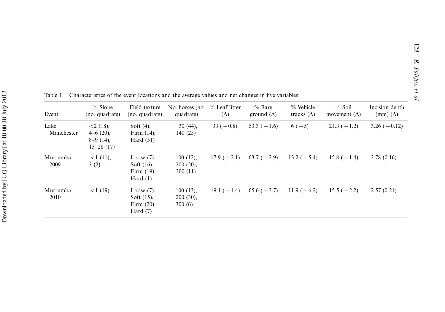| Event              | $%$ Slope<br>(no. quadrats)                                | Field texture<br>(no. quadrats)                               | No. horses (no.<br>quadrats)          | % Leaf litter<br>$(\Delta)$ | $%$ Bare<br>ground $(\Delta)$ | % Vehicle<br>tracks $(\Delta)$ | $%$ Soil<br>movement $(\Delta)$ | Incision depth<br>$\pmod{(\Delta)}$ |
|--------------------|------------------------------------------------------------|---------------------------------------------------------------|---------------------------------------|-----------------------------|-------------------------------|--------------------------------|---------------------------------|-------------------------------------|
| Lake<br>Manchester | $<$ 2 (18),<br>$4-6$ (20),<br>$8-9(14)$ ,<br>$15 - 28(17)$ | Soft $(4)$ ,<br>Firm $(14)$ ,<br>Hard $(51)$                  | $30(44)$ ,<br>140(25)                 | $33(-0.8)$                  | $53.3(-1.6)$                  | $6(-5)$                        | $21.3(-1.2)$                    | $3.26(-0.12)$                       |
| Murrumba<br>2009   | $<1$ (41),<br>3(2)                                         | Loose $(7)$ ,<br>Soft $(16)$ ,<br>Firm $(19)$ ,<br>Hard $(1)$ | $100(12)$ ,<br>$200(20)$ ,<br>300(11) | $17.9(-2.1)$                | $63.7(-2.9)$                  | $13.2(-5.4)$                   | $15.8(-1.4)$                    | 3.78(0.16)                          |
| Murrumba<br>2010   | <1(49)                                                     | Loose $(7)$ ,<br>Soft $(15)$ ,<br>Firm $(20)$ ,<br>Hard $(7)$ | $100(13)$ ,<br>$200(30)$ ,<br>300(6)  | $19.1(-1.4)$                | $65.6(-3.7)$                  | $11.9(-6.2)$                   | $15.5(-2.2)$                    | 2.57(0.21)                          |

Table 1. Characteristics of the event locations and the average values and net changes in five variables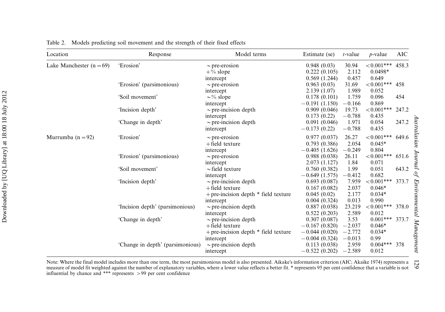| Location                   | Response                         | Model terms                              | Estimate (se)   | $t$ -value | <i>p</i> -value  | <b>AIC</b> |                          |
|----------------------------|----------------------------------|------------------------------------------|-----------------|------------|------------------|------------|--------------------------|
| Lake Manchester $(n = 69)$ | 'Erosion'                        | $\sim$ pre-erosion                       | 0.948(0.03)     | 30.94      | $<0.001***$      | 458.3      |                          |
|                            |                                  | $+$ % slope                              | 0.222(0.105)    | 2.112      | $0.0498*$        |            |                          |
|                            |                                  | intercept                                | 0.569(1.244)    | 0.457      | 0.649            |            |                          |
|                            | 'Erosion' (parsimonious)         | $\sim$ pre-erosion                       | 0.963(0.03)     | 31.69      | $<0.001***$      | 458        |                          |
|                            |                                  | intercept                                | 2.139(1.07)     | 1.989      | 0.052            |            |                          |
|                            | 'Soil movement'                  | $\sim\%$ slope                           | 0.178(0.101)    | 1.759      | 0.096            | 454        |                          |
|                            |                                  | intercept                                | $-0.191(1.150)$ | $-0.166$   | 0.869            |            |                          |
|                            | 'Incision depth'                 | $\sim$ pre-incision depth                | 0.909(0.046)    | 19.73      | $<0.001***$      | 247.2      |                          |
|                            |                                  | intercept                                | 0.173(0.22)     | $-0.788$   | 0.435            |            |                          |
|                            | 'Change in depth'                | $\sim$ pre-incision depth                | 0.091(0.046)    | 1.971      | 0.054            | 247.2      |                          |
|                            |                                  | intercept                                | $-0.173(0.22)$  | $-0.788$   | 0.435            |            |                          |
| Murrumba ( $n = 92$ )      | 'Erosion'                        | $\sim$ pre-erosion                       | 0.977(0.037)    | 26.27      | $< 0.001***$     | 649.6      | Australasian Journal of  |
|                            |                                  | $+$ field texture                        | 0.793(0.386)    | 2.054      | $0.045*$         |            |                          |
|                            |                                  | intercept                                | $-0.405(1.626)$ | $-0.249$   | 0.804            |            |                          |
|                            | 'Erosion' (parsimonious)         | $\sim$ pre-erosion                       | 0.988(0.038)    | 26.11      | $<0.001***$      | 651.6      |                          |
|                            |                                  | intercept                                | 2.073(1.127)    | 1.84       | 0.071            |            |                          |
|                            | 'Soil movement'                  | $\sim$ field texture                     | 0.760(0.382)    | 1.99       | 0.051            | 643.2      |                          |
|                            |                                  | intercept                                | $-0.649(1.575)$ | $-0.412$   | 0.682            |            |                          |
|                            | 'Incision depth'                 | $\sim$ pre-incision depth                | 0.693(0.087)    | 7.959      | $< 0.001***$     | 373.7      |                          |
|                            |                                  | $+$ field texture                        | 0.167(0.082)    | 2.037      | $0.046*$         |            |                          |
|                            |                                  | $+$ pre-incision depth $*$ field texture | 0.045(0.02)     | 2.177      | $0.034*$         |            |                          |
|                            |                                  | intercept                                | 0.004(0.324)    | 0.013      | 0.990            |            |                          |
|                            | 'Incision depth' (parsimonious)  | $\sim$ pre-incision depth                | 0.887(0.038)    | 23.219     | $<0.001***$      | 378.0      |                          |
|                            |                                  | intercept                                | 0.522(0.203)    | 2.589      | 0.012            |            |                          |
|                            | 'Change in depth'                | $\sim$ pre-incision depth                | 0.307(0.087)    | 3.53       | $0.001***$ 373.7 |            |                          |
|                            |                                  | $+$ field texture                        | $-0.167(0.820)$ | $-2.037$   | $0.046*$         |            |                          |
|                            |                                  | + pre-incision depth * field texture     | $-0.044(0.020)$ | $-2.772$   | $0.034*$         |            |                          |
|                            |                                  | intercept                                | $-0.004(0.324)$ | $-0.013$   | 0.99             |            |                          |
|                            | 'Change in depth' (parsimonious) | $\sim$ pre-incision depth                | 0.113(0.038)    | 2.959      | $0.004***$       | 378        |                          |
|                            |                                  | intercept                                | $-0.522(0.202)$ | $-2.589$   | 0.012            |            | Environmental Management |
|                            |                                  |                                          |                 |            |                  |            |                          |

Table 2. Models predicting soil movement and the strength of their fixed effects

Note: Where the final model includes more than one term, the most parsimonious model is also presented. Aikake's information criterion (AIC; Akaike 1974) represents <sup>a</sup> measure of model fit weighted against the number of explanatory variables, where <sup>a</sup> lower value reflects <sup>a</sup> better fit. \* represents 95 per cent confidence that <sup>a</sup> variable is not influential by chance and \*\*\* represents >99 per cent confidence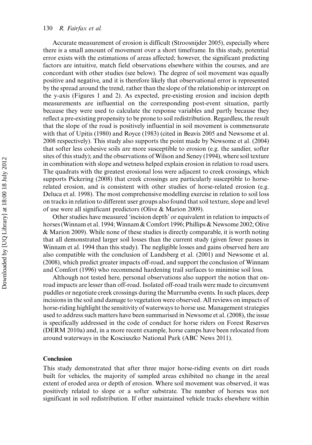Accurate measurement of erosion is difficult (Stroosnijder 2005), especially where there is a small amount of movement over a short timeframe. In this study, potential error exists with the estimations of areas affected; however, the significant predicting factors are intuitive, match field observations elsewhere within the courses, and are concordant with other studies (see below). The degree of soil movement was equally positive and negative, and it is therefore likely that observational error is represented by the spread around the trend, rather than the slope of the relationship or intercept on the y-axis (Figures 1 and 2). As expected, pre-existing erosion and incision depth measurements are influential on the corresponding post-event situation, partly because they were used to calculate the response variables and partly because they reflect a pre-existing propensity to be prone to soil redistribution. Regardless, the result that the slope of the road is positively influential in soil movement is commensurate with that of Upitis (1980) and Royce (1983) (cited in Beavis 2005 and Newsome et al. 2008 respectively). This study also supports the point made by Newsome et al. (2004) that softer less cohesive soils are more susceptible to erosion (e.g. the sandier, softer sites of this study); and the observations of Wilson and Seney (1994), where soil texture in combination with slope and wetness helped explain erosion in relation to road users. The quadrats with the greatest erosional loss were adjacent to creek crossings, which supports Pickering (2008) that creek crossings are particularly susceptible to horserelated erosion, and is consistent with other studies of horse-related erosion (e.g. Deluca et al. 1998). The most comprehensive modelling exercise in relation to soil loss on tracks in relation to different user groups also found that soil texture, slope and level of use were all significant predictors (Olive & Marion 2009).

Other studies have measured 'incision depth' or equivalent in relation to impacts of horses (Winnam et al. 1994; Winnam & Comfort 1996; Phillips & Newsome 2002; Olive & Marion 2009). While none of these studies is directly comparable, it is worth noting that all demonstrated larger soil losses than the current study (given fewer passes in Winnam et al. 1994 than this study). The negligible losses and gains observed here are also compatible with the conclusion of Landsberg et al. (2001) and Newsome et al. (2008), which predict greater impacts off-road, and support the conclusion of Winnam and Comfort (1996) who recommend hardening trail surfaces to minimise soil loss.

Although not tested here, personal observations also support the notion that onroad impacts are lesser than off-road. Isolated off-road trails were made to circumvent puddles or negotiate creek crossings during the Murrumba events. In such places, deep incisions in the soil and damage to vegetation were observed. All reviews on impacts of horse-riding highlight the sensitivity of waterways to horse use. Management strategies used to address such matters have been summarised in Newsome et al. (2008), the issue is specifically addressed in the code of conduct for horse riders on Forest Reserves (DERM 2010a) and, in a more recent example, horse camps have been relocated from around waterways in the Kosciuszko National Park (ABC News 2011).

### **Conclusion**

This study demonstrated that after three major horse-riding events on dirt roads built for vehicles, the majority of sampled areas exhibited no change in the areal extent of eroded area or depth of erosion. Where soil movement was observed, it was positively related to slope or a softer substrate. The number of horses was not significant in soil redistribution. If other maintained vehicle tracks elsewhere within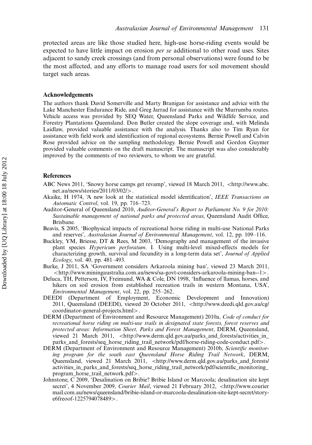protected areas are like those studied here, high-use horse-riding events would be expected to have little impact on erosion *per se* additional to other road uses. Sites adjacent to sandy creek crossings (and from personal observations) were found to be the most affected, and any efforts to manage road users for soil movement should target such areas.

#### Acknowledgements

The authors thank David Somerville and Marty Branigan for assistance and advice with the Lake Manchester Endurance Ride, and Greg Jarrad for assistance with the Murrumba routes. Vehicle access was provided by SEQ Water, Queensland Parks and Wildlife Service, and Forestry Plantations Queensland. Don Butler created the slope coverage and, with Melinda Laidlaw, provided valuable assistance with the analysis. Thanks also to Tim Ryan for assistance with field work and identification of regional ecosystems. Bernie Powell and Calvin Rose provided advice on the sampling methodology. Bernie Powell and Gordon Guymer provided valuable comments on the draft manuscript. The manuscript was also considerably improved by the comments of two reviewers, to whom we are grateful.

# **References**

- ABC News 2011, 'Snowy horse camps get revamp', viewed 18 March 2011, <[http://www.abc.](http://www.abc.net.au/news/stories/2011/03/02/) [net.au/news/stories/2011/03/02/](http://www.abc.net.au/news/stories/2011/03/02/)-.
- Akaike, H 1974, 'A new look at the statistical model identification', IEEE Transactions on Automatic Control, vol. 19, pp. 716-723.
- Auditor-General of Queensland 2010, Auditor-General's Report to Parliament No. 9 for 2010: Sustainable management of national parks and protected areas, Queensland Audit Office, Brisbane.
- Beavis, S 2005, 'Biophysical impacts of recreational horse riding in multi-use National Parks and reserves', Australasian Journal of Environmental Management, vol. 12, pp. 109-116.
- Buckley, YM, Briesse, DT & Rees, M 2003, 'Demography and management of the invasive plant species Hypericum perforatum. I. Using multi-level mixed-effects models for characterizing growth, survival and fecundity in a long-term data set', Journal of Applied  $Ecology$ , vol. 40, pp. 481-493.
- Burke, J 2011, SA 'Government considers Arkaroola mining ban', viewed 23 March 2011, <<http://www.miningaustralia.com.au/news/sa-govt-considers-arkaroola-mining-ban--1>>.
- Deluca, TH, Petterson, IV, Freimund, WA & Cole, DN 1998, 'Influence of llamas, horses, and hikers on soil erosion from established recreation trails in western Montana, USA', Environmental Management, vol. 22, pp.  $255-262$ .
- DEEDI (Department of Employment, Economic Development and Innovation) 2011, Queensland (DEEDI), viewed 20 October 2011, <[http://www.deedi.qld.gov.au/cg/](http://www.deedi.qld.gov.au/cg/coordinator-general-projects.html) [coordinator-general-projects.html](http://www.deedi.qld.gov.au/cg/coordinator-general-projects.html)>.
- DERM (Department of Environment and Resource Management) 2010a, Code of conduct for recreational horse riding on multi-use trails in designated state forests, forest reserves and protected areas: Information Sheet, Parks and Forest Management, DERM, Queensland, viewed 21 March 2011, <http://www.derm.qld.gov.au/parks\_and\_forests/activities\_in [parks\\_and\\_forests/seq\\_horse\\_riding\\_trail\\_network/pdf/horse-riding-code-conduct.pdf](http://www.derm.qld.gov.au/parks_and_forests/activities_in_parks_and_forests/seq_horse_riding_trail_network/pdf/horse-riding-code-conduct.pdf)-.
- DERM (Department of Environment and Resource Management) 2010b, Scientific monitoring program for the south east Queensland Horse Riding Trail Network, DERM, Queensland, viewed 21 March 2011, <[http://www.derm.qld.gov.au/parks\\_and\\_forests/](http://www.derm.qld.gov.au/parks_and_forests/activities_in_parks_and_forests/seq_horse_riding_trail_network/pdf/scientific_monitoring_program_horse_trail_network.pdf) [activities\\_in\\_parks\\_and\\_forests/seq\\_horse\\_riding\\_trail\\_network/pdf/scientific\\_monitoring\\_](http://www.derm.qld.gov.au/parks_and_forests/activities_in_parks_and_forests/seq_horse_riding_trail_network/pdf/scientific_monitoring_program_horse_trail_network.pdf) [program\\_horse\\_trail\\_network.pdf](http://www.derm.qld.gov.au/parks_and_forests/activities_in_parks_and_forests/seq_horse_riding_trail_network/pdf/scientific_monitoring_program_horse_trail_network.pdf)>.
- Johnstone, C 2009, 'Desalination on Bribie? Bribie Island or Marcoola; desalination site kept secret', 4 November 2009, *Courier Mail*, viewed 21 February 2012, <[http://www.courier](http://www.couriermail.com.au/news/queensland/bribie-island-or-marcoola-desalination-site-kept-secret/story-e6freoof-1225794078489) [mail.com.au/news/queensland/bribie-island-or-marcoola-desalination-site-kept-secret/story](http://www.couriermail.com.au/news/queensland/bribie-island-or-marcoola-desalination-site-kept-secret/story-e6freoof-1225794078489)[e6freoof-1225794078489](http://www.couriermail.com.au/news/queensland/bribie-island-or-marcoola-desalination-site-kept-secret/story-e6freoof-1225794078489)-.